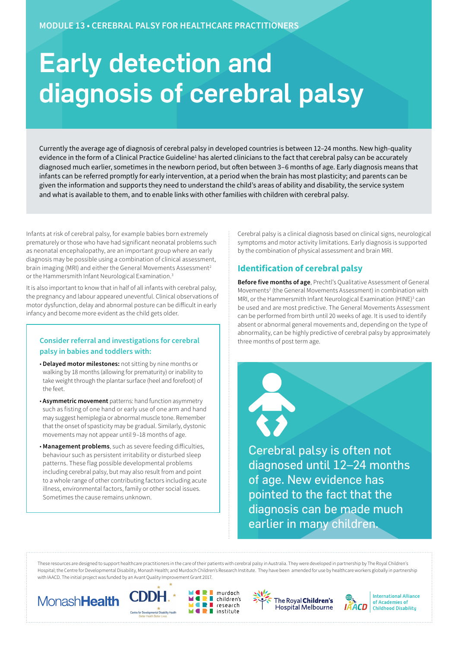# Early detection and diagnosis of cerebral palsy

Currently the average age of diagnosis of cerebral palsy in developed countries is between 12–24 months. New high-quality evidence in the form of a Clinical Practice Guideline<sup>1</sup> has alerted clinicians to the fact that cerebral palsy can be accurately diagnosed much earlier, sometimes in the newborn period, but often between 3–6 months of age. Early diagnosis means that infants can be referred promptly for early intervention, at a period when the brain has most plasticity; and parents can be given the information and supports they need to understand the child's areas of ability and disability, the service system and what is available to them, and to enable links with other families with children with cerebral palsy.

Infants at risk of cerebral palsy, for example babies born extremely prematurely or those who have had significant neonatal problems such as neonatal encephalopathy, are an important group where an early diagnosis may be possible using a combination of clinical assessment, brain imaging (MRI) and either the General Movements Assessment<sup>2</sup> or the Hammersmith Infant Neurological Examination.3

It is also important to know that in half of all infants with cerebral palsy, the pregnancy and labour appeared uneventful. Clinical observations of motor dysfunction, delay and abnormal posture can be difficult in early infancy and become more evident as the child gets older.

### **Consider referral and investigations for cerebral palsy in babies and toddlers with:**

- **Delayed motor milestones:** not sitting by nine months or walking by 18 months (allowing for prematurity) or inability to take weight through the plantar surface (heel and forefoot) of the feet.
- **Asymmetric movement** patterns: hand function asymmetry such as fisting of one hand or early use of one arm and hand may suggest hemiplegia or abnormal muscle tone. Remember that the onset of spasticity may be gradual. Similarly, dystonic movements may not appear until 9–18 months of age.
- **Management problems**, such as severe feeding difficulties, behaviour such as persistent irritability or disturbed sleep patterns. These flag possible developmental problems including cerebral palsy, but may also result from and point to a whole range of other contributing factors including acute illness, environmental factors, family or other social issues. Sometimes the cause remains unknown.

Cerebral palsy is a clinical diagnosis based on clinical signs, neurological symptoms and motor activity limitations. Early diagnosis is supported by the combination of physical assessment and brain MRI.

# **Identification of cerebral palsy**

**Before five months of age**, Prechtl's Qualitative Assessment of General Movements<sup>2</sup> (the General Movements Assessment) in combination with MRI, or the Hammersmith Infant Neurological Examination (HINE)<sup>3</sup> can be used and are most predictive. The General Movements Assessment can be performed from birth until 20 weeks of age. It is used to identify absent or abnormal general movements and, depending on the type of abnormality, can be highly predictive of cerebral palsy by approximately three months of post term age.

Cerebral palsy is often not diagnosed until 12–24 months of age. New evidence has pointed to the fact that the diagnosis can be made much earlier in many children.

These resources are designed to support healthcare practitioners in the care of their patients with cerebral palsy in Australia. They were developed in partnership by The Royal Children's Hospital; the Centre for Developmental Disability, Monash Health; and Murdoch Children's Research Institute. They have been amended for use by healthcare workers globally in partnership with IAACD. The initial project was funded by an Avant Quality Improvement Grant 2017.

Ξ









**International Alliance** 

of Academies of